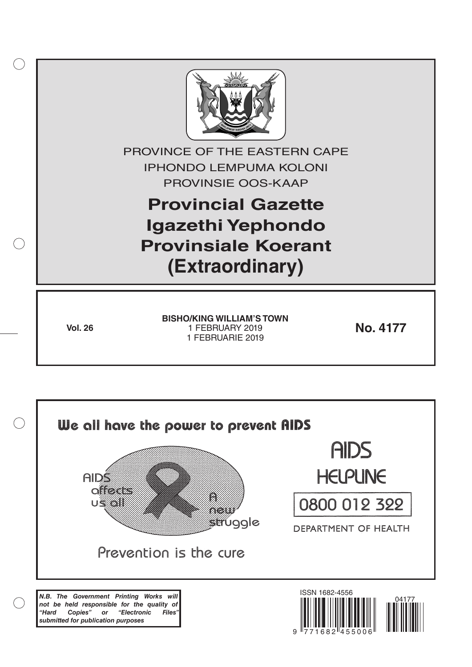

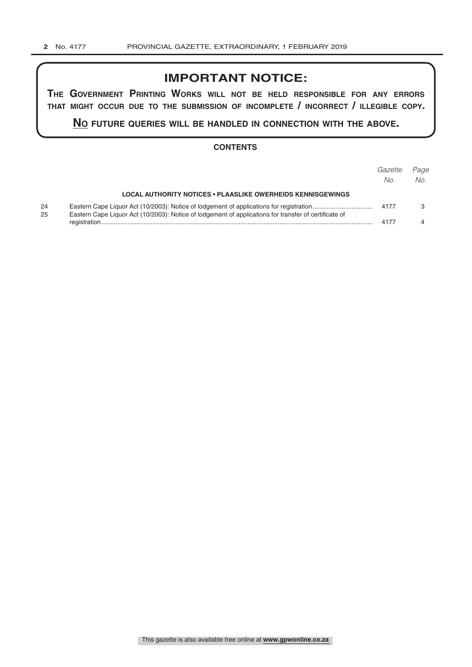## **IMPORTANT NOTICE:**

**The GovernmenT PrinTinG Works Will noT be held resPonsible for any errors ThaT miGhT occur due To The submission of incomPleTe / incorrecT / illeGible coPy.**

**no fuTure queries Will be handled in connecTion WiTh The above.**

### **CONTENTS**

|          |                                                                                                       | Gazette<br>No. | Page<br>No. |
|----------|-------------------------------------------------------------------------------------------------------|----------------|-------------|
|          | <b>LOCAL AUTHORITY NOTICES • PLAASLIKE OWERHEIDS KENNISGEWINGS</b>                                    |                |             |
| 24<br>25 | Eastern Cape Liquor Act (10/2003): Notice of lodgement of applications for transfer of certificate of |                |             |
|          |                                                                                                       |                |             |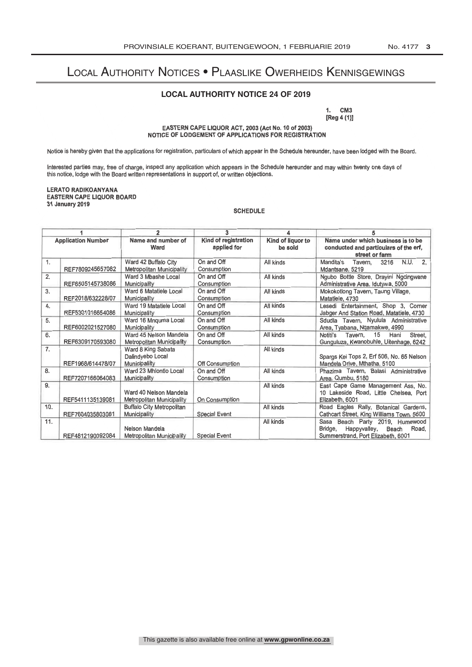# Local Authority Notices • Plaaslike Owerheids Kennisgewings

## **LOCAL AUTHORITY NOTICE 24 OF 2019**

 $1. \quad \text{cm3}$ 

[Reg 4 (1)]

EASTERN CAPE LIQUOR ACT, 2003 (Act No. 10 of 2003) NOTICE OF LODGEMENT OF APPLICATIONS FOR REGISTRATION

Notice is hereby given that the applications for registration, particulars of which appear in the Schedule hereunder, have been lodged with the Board.

Interested parties may, free of charge, inspect any application which appears in the Schedule hereunder and may within twenty one days of this notice, lodge with the Board written representations in support of, or written objections.

LERATO RADIKOANYANA EASTERN CAPE LIQUOR BOARD 31 January 2019

SCHEDULE

| <b>Application Number</b> |                   |                                                            |                                     |                              | 5                                                                                                            |  |
|---------------------------|-------------------|------------------------------------------------------------|-------------------------------------|------------------------------|--------------------------------------------------------------------------------------------------------------|--|
|                           |                   | Name and number of<br>Ward                                 | Kind of registration<br>applied for | Kind of liquor to<br>be sold | Name under which business is to be<br>conducted and particulars of the erf,<br>street or farm                |  |
| 1.                        | REF7809245657082  | Ward 42 Buffalo City<br>Metropolitan Municipality          | On and Off<br>Consumption           | All kinds                    | Mandita's<br>N.U.<br>2.<br>Tavern,<br>3216<br>Mdantsane, 5219                                                |  |
| 2.                        | REF6505145738086  | Ward 3 Mbashe Local<br>Municipality                        | On and Off<br>Consumption           | All kinds                    | Ngubo Bottle Store, Drayini Ngcingwane<br>Administrative Area, Idutywa, 5000                                 |  |
| 3.                        | REF2018/632228/07 | Ward 6 Matatiele Local<br>Municipality                     | On and Off<br>Consumption           | All kinds                    | Mokokotlong Tavern, Taung Village,<br>Matatiele, 4730                                                        |  |
| 4.                        | REF5301016654086  | Ward 19 Matatiele Local<br>Municipality                    | On and Off<br>Consumption           | All kinds                    | Lesedi Entertainment, Shop 3, Corner<br>Jabger And Station Road, Matatiele, 4730                             |  |
| 5.                        | REF6002021527080  | Ward 16 Mnquma Local<br>Municipality                       | On and Off<br>Consumption           | All kinds                    | Sdudla Tavern, Nyulula Administrative<br>Area, Tyabana, Ngamakwe, 4990                                       |  |
| 6.                        | REF6309170593080  | Ward 45 Nelson Mandela<br>Metropolitan Municipality        | On and Off<br>Consumption           | All kinds                    | Notiti's<br>15<br>Street,<br>Tavern.<br>Hani<br>Gunguluza, Kwanobuhle, Uitenhage, 6242                       |  |
| 7.                        | REF1968/614478/07 | Ward 8 King Sabata<br>Dalindyebo Local<br>Municipaliity    | Off Consumption                     | All kinds                    | Spargs Kei Tops 2, Erf 506, No. 65 Nelson<br>Mandela Drive, Mthatha, 5100                                    |  |
| 8.                        | REF7207166064083  | Ward 23 Mhlontlo Local<br>Municipality                     | On and Off<br>Consumption           | All kinds                    | Phazima Tavern, Balasi Administrative<br>Area, Qumbu, 5180                                                   |  |
| 9.                        | REF5411135139081  | Ward 40 Nelson Mandela<br><b>Metropolitan Municipality</b> | On Consumption                      | All kinds                    | East Cape Game Management Ass, No.<br>10 Lakeside Road, Little Chelsea, Port<br>Elizabeth, 6001              |  |
| 10.                       | REF7604035803081  | <b>Buffalo City Metropolitan</b><br>Municipality           | Special Event                       | All kinds                    | Road Eagles Rally, Botanical Gardens,<br>Cathcart Street, King Williams Town, 5600                           |  |
| 11.                       | REF4812190092084  | Nelson Mandela<br><b>Metropolitan Municipality</b>         | <b>Special Event</b>                | All kinds                    | Sasa Beach Party 2019, Humewood<br>Bridge,<br>Happyvalley, Beach Road,<br>Summerstrand, Port Elizabeth, 6001 |  |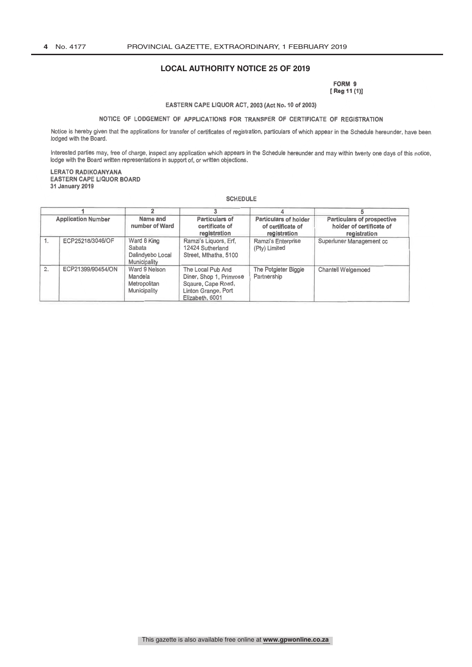#### **LOCAL AUTHORITY NOTICE 25 OF 2019**

FORM 9 [ Reg 11 (1)]

#### EASTERN CAPE LIQUOR ACT, 2003 (Act No. 10 of 2003)

#### NOTICE OF LODGEMENT OF APPLICATIONS FOR TRANSFER OF CERTIFICATE OF REGISTRATION

Notice is hereby given that the applications for transfer of certificates of registration, particulars of which appear in the Schedule hereunder, have been lodged with the Board.

Interested parties may, free of charge, inspect any application which appears in the Schedule hereunder and may within twenty one days of this notice, lodge with the Board written representations in support of, or written objections.

LERATO RADIKOANYANA EASTERN CAPE LIQUOR BOARD 31 January 2019

**SCHEDULE** 

| <b>Application Number</b> |                   |                                                                                |                                                                                                              |                                                                   |                                                                               |
|---------------------------|-------------------|--------------------------------------------------------------------------------|--------------------------------------------------------------------------------------------------------------|-------------------------------------------------------------------|-------------------------------------------------------------------------------|
|                           |                   | Particulars of<br>Name and<br>number of Ward<br>certificate of<br>registration |                                                                                                              | <b>Particulars of holder</b><br>of certificate of<br>registration | <b>Particulars of prospective</b><br>holder of certificate of<br>registration |
| 1.                        | ECP25218/3046/OF  | Ward 8 King<br>Sabata<br>Dalindyebo Local<br>Municipality                      | Ramzi's Liquors, Erf,<br>12424 Sutherland<br>Street, Mthatha, 5100                                           | Ramzi's Enterprise<br>(Pty) Limited                               | Superluner Management cc                                                      |
| 2.                        | ECP21399/90454/ON | Ward 9 Nelson<br>Mandela<br>Metropolitan<br>Municipality                       | The Local Pub And<br>Diner, Shop 1, Primrose<br>Sqaure, Cape Road,<br>Linton Grange, Port<br>Elizabeth, 6001 | The Potgieter Biggie<br>Partnership                               | <b>Chantell Welgemoed</b>                                                     |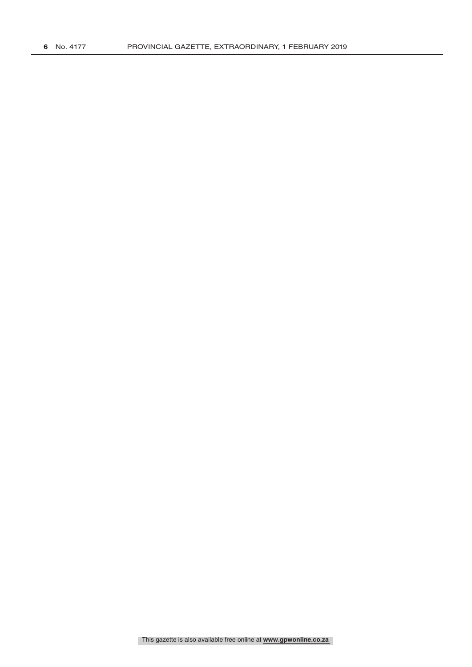This gazette is also available free online at **www.gpwonline.co.za**